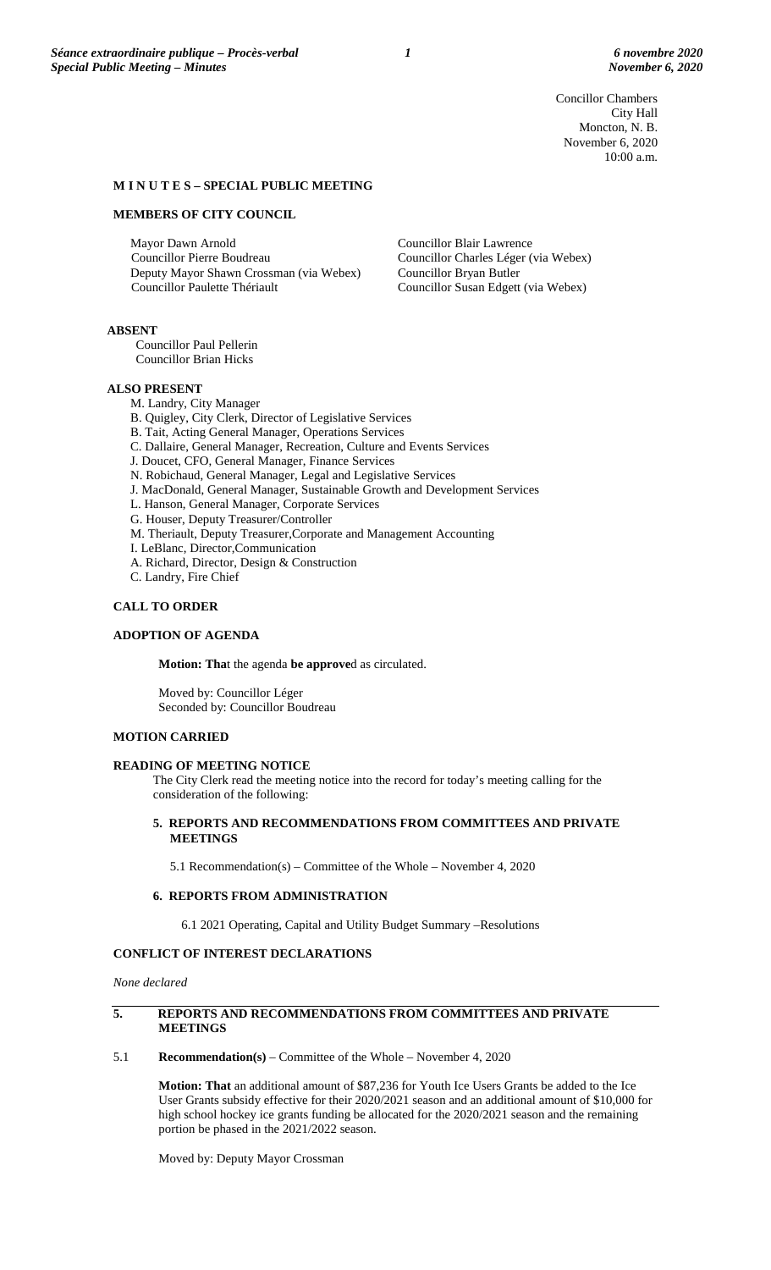Concillor Chambers City Hall Moncton, N. B. November 6, 2020 10:00 a.m.

### **M I N U T E S – SPECIAL PUBLIC MEETING**

#### **MEMBERS OF CITY COUNCIL**

Mayor Dawn Arnold Councillor Pierre Boudreau Deputy Mayor Shawn Crossman (via Webex) Councillor Paulette Thériault

Councillor Blair Lawrence Councillor Charles Léger (via Webex) Councillor Bryan Butler Councillor Susan Edgett (via Webex)

# **ABSENT**

Councillor Paul Pellerin Councillor Brian Hicks

### **ALSO PRESENT**

- M. Landry, City Manager
- B. Quigley, City Clerk, Director of Legislative Services
- B. Tait, Acting General Manager, Operations Services
- C. Dallaire, General Manager, Recreation, Culture and Events Services
- J. Doucet, CFO, General Manager, Finance Services
- N. Robichaud, General Manager, Legal and Legislative Services
- J. MacDonald, General Manager, Sustainable Growth and Development Services
- L. Hanson, General Manager, Corporate Services
- G. Houser, Deputy Treasurer/Controller
- M. Theriault, Deputy Treasurer,Corporate and Management Accounting
- I. LeBlanc, Director,Communication
- A. Richard, Director, Design & Construction
- C. Landry, Fire Chief

### **CALL TO ORDER**

### **ADOPTION OF AGENDA**

**Motion: Tha**t the agenda **be approve**d as circulated.

Moved by: Councillor Léger Seconded by: Councillor Boudreau

# **MOTION CARRIED**

# **READING OF MEETING NOTICE**

The City Clerk read the meeting notice into the record for today's meeting calling for the consideration of the following:

# **5. REPORTS AND RECOMMENDATIONS FROM COMMITTEES AND PRIVATE MEETINGS**

5.1 Recommendation(s) – Committee of the Whole – November 4, 2020

# **6. REPORTS FROM ADMINISTRATION**

6.1 2021 Operating, Capital and Utility Budget Summary –Resolutions

# **CONFLICT OF INTEREST DECLARATIONS**

*None declared*

# **5. REPORTS AND RECOMMENDATIONS FROM COMMITTEES AND PRIVATE MEETINGS**

5.1 **Recommendation(s)** – Committee of the Whole – November 4, 2020

**Motion: That** an additional amount of \$87,236 for Youth Ice Users Grants be added to the Ice User Grants subsidy effective for their 2020/2021 season and an additional amount of \$10,000 for high school hockey ice grants funding be allocated for the 2020/2021 season and the remaining portion be phased in the 2021/2022 season.

Moved by: Deputy Mayor Crossman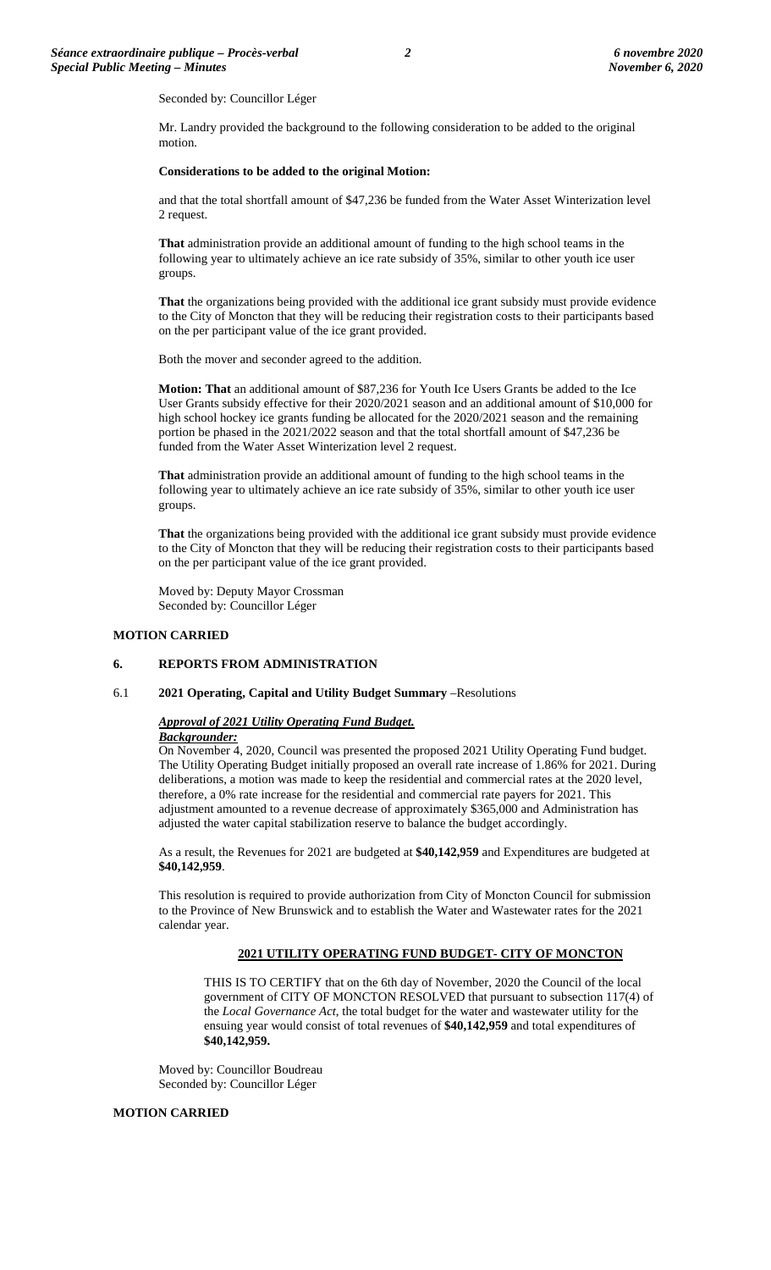Seconded by: Councillor Léger

Mr. Landry provided the background to the following consideration to be added to the original motion.

### **Considerations to be added to the original Motion:**

and that the total shortfall amount of \$47,236 be funded from the Water Asset Winterization level 2 request.

**That** administration provide an additional amount of funding to the high school teams in the following year to ultimately achieve an ice rate subsidy of 35%, similar to other youth ice user groups.

**That** the organizations being provided with the additional ice grant subsidy must provide evidence to the City of Moncton that they will be reducing their registration costs to their participants based on the per participant value of the ice grant provided.

Both the mover and seconder agreed to the addition.

**Motion: That** an additional amount of \$87,236 for Youth Ice Users Grants be added to the Ice User Grants subsidy effective for their 2020/2021 season and an additional amount of \$10,000 for high school hockey ice grants funding be allocated for the 2020/2021 season and the remaining portion be phased in the 2021/2022 season and that the total shortfall amount of \$47,236 be funded from the Water Asset Winterization level 2 request.

**That** administration provide an additional amount of funding to the high school teams in the following year to ultimately achieve an ice rate subsidy of 35%, similar to other youth ice user groups.

**That** the organizations being provided with the additional ice grant subsidy must provide evidence to the City of Moncton that they will be reducing their registration costs to their participants based on the per participant value of the ice grant provided.

Moved by: Deputy Mayor Crossman Seconded by: Councillor Léger

### **MOTION CARRIED**

# **6. REPORTS FROM ADMINISTRATION**

#### 6.1 **2021 Operating, Capital and Utility Budget Summary** –Resolutions

#### *Approval of 2021 Utility Operating Fund Budget.*

#### *Backgrounder:*

On November 4, 2020, Council was presented the proposed 2021 Utility Operating Fund budget. The Utility Operating Budget initially proposed an overall rate increase of 1.86% for 2021. During deliberations, a motion was made to keep the residential and commercial rates at the 2020 level, therefore, a 0% rate increase for the residential and commercial rate payers for 2021. This adjustment amounted to a revenue decrease of approximately \$365,000 and Administration has adjusted the water capital stabilization reserve to balance the budget accordingly.

As a result, the Revenues for 2021 are budgeted at **\$40,142,959** and Expenditures are budgeted at **\$40,142,959**.

This resolution is required to provide authorization from City of Moncton Council for submission to the Province of New Brunswick and to establish the Water and Wastewater rates for the 2021 calendar year.

# **2021 UTILITY OPERATING FUND BUDGET- CITY OF MONCTON**

THIS IS TO CERTIFY that on the 6th day of November, 2020 the Council of the local government of CITY OF MONCTON RESOLVED that pursuant to subsection 117(4) of the *Local Governance Act*, the total budget for the water and wastewater utility for the ensuing year would consist of total revenues of **\$40,142,959** and total expenditures of **\$40,142,959.**

Moved by: Councillor Boudreau Seconded by: Councillor Léger

# **MOTION CARRIED**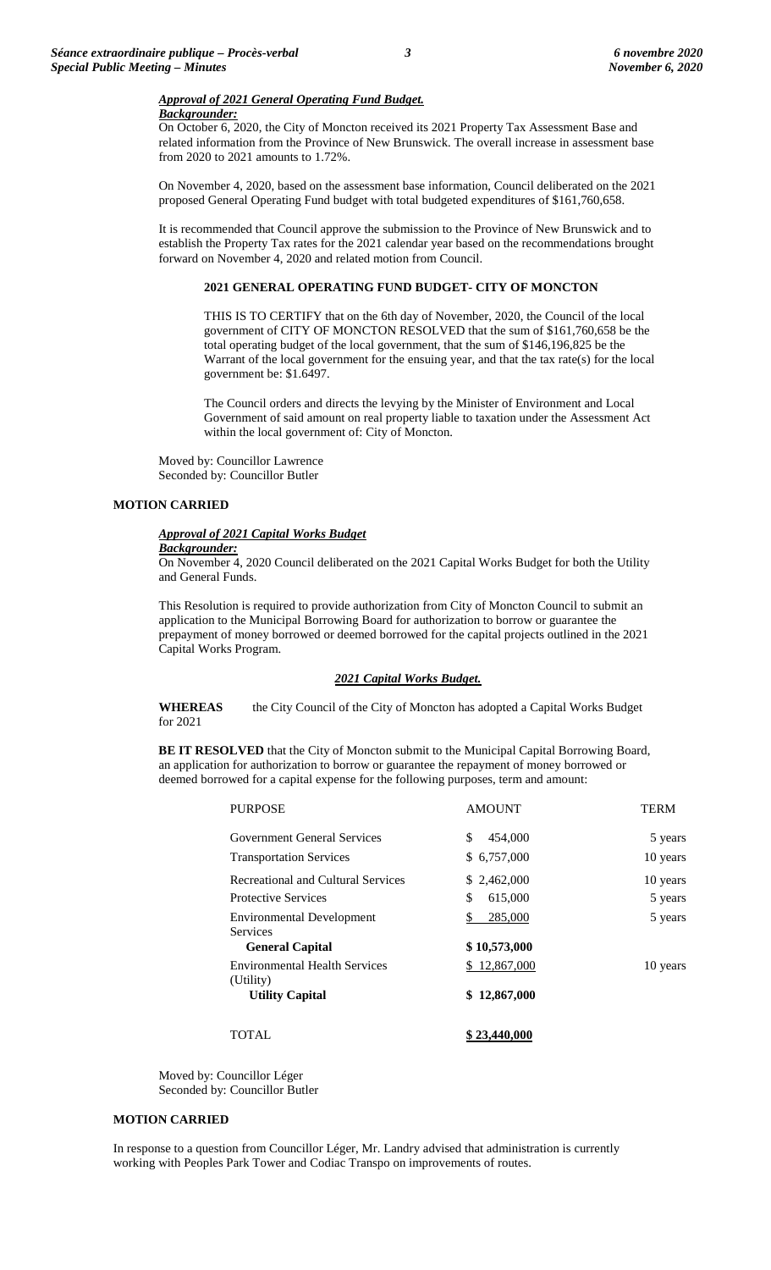# *Approval of 2021 General Operating Fund Budget.*

# *Backgrounder:*

On October 6, 2020, the City of Moncton received its 2021 Property Tax Assessment Base and related information from the Province of New Brunswick. The overall increase in assessment base from 2020 to 2021 amounts to 1.72%.

On November 4, 2020, based on the assessment base information, Council deliberated on the 2021 proposed General Operating Fund budget with total budgeted expenditures of \$161,760,658.

It is recommended that Council approve the submission to the Province of New Brunswick and to establish the Property Tax rates for the 2021 calendar year based on the recommendations brought forward on November 4, 2020 and related motion from Council.

### **2021 GENERAL OPERATING FUND BUDGET- CITY OF MONCTON**

THIS IS TO CERTIFY that on the 6th day of November, 2020, the Council of the local government of CITY OF MONCTON RESOLVED that the sum of \$161,760,658 be the total operating budget of the local government, that the sum of \$146,196,825 be the Warrant of the local government for the ensuing year, and that the tax rate(s) for the local government be: \$1.6497.

The Council orders and directs the levying by the Minister of Environment and Local Government of said amount on real property liable to taxation under the Assessment Act within the local government of: City of Moncton.

Moved by: Councillor Lawrence Seconded by: Councillor Butler

# **MOTION CARRIED**

# *Approval of 2021 Capital Works Budget*

### *Backgrounder:*

On November 4, 2020 Council deliberated on the 2021 Capital Works Budget for both the Utility and General Funds.

This Resolution is required to provide authorization from City of Moncton Council to submit an application to the Municipal Borrowing Board for authorization to borrow or guarantee the prepayment of money borrowed or deemed borrowed for the capital projects outlined in the 2021 Capital Works Program.

### *2021 Capital Works Budget.*

**WHEREAS** the City Council of the City of Moncton has adopted a Capital Works Budget for 2021

**BE IT RESOLVED** that the City of Moncton submit to the Municipal Capital Borrowing Board, an application for authorization to borrow or guarantee the repayment of money borrowed or deemed borrowed for a capital expense for the following purposes, term and amount:

| <b>PURPOSE</b>                                      | <b>AMOUNT</b> | <b>TERM</b> |
|-----------------------------------------------------|---------------|-------------|
| Government General Services                         | \$<br>454,000 | 5 years     |
| <b>Transportation Services</b>                      | \$ 6,757,000  | 10 years    |
| Recreational and Cultural Services                  | \$2,462,000   | 10 years    |
| <b>Protective Services</b>                          | \$<br>615,000 | 5 years     |
| <b>Environmental Development</b><br><b>Services</b> | 285,000<br>S  | 5 years     |
| <b>General Capital</b>                              | \$10,573,000  |             |
| <b>Environmental Health Services</b><br>(Utility)   | \$12,867,000  | 10 years    |
| <b>Utility Capital</b>                              | \$12,867,000  |             |
| <b>TOTAL</b>                                        | \$23,440,000  |             |

Moved by: Councillor Léger Seconded by: Councillor Butler

# **MOTION CARRIED**

In response to a question from Councillor Léger, Mr. Landry advised that administration is currently working with Peoples Park Tower and Codiac Transpo on improvements of routes.